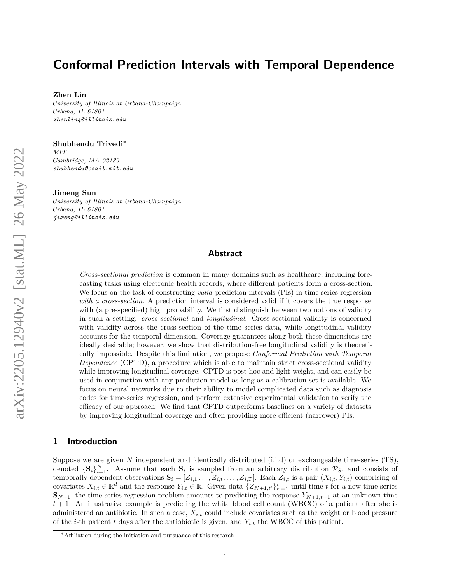# <span id="page-0-0"></span>**Conformal Prediction Intervals with Temporal Dependence**

#### **Zhen Lin**

*University of Illinois at Urbana-Champaign Urbana, IL 61801 zhenlin4@illinois.edu*

### **Shubhendu Trivedi**<sup>∗</sup>

*MIT Cambridge, MA 02139 shubhendu@csail.mit.edu*

#### **Jimeng Sun**

*University of Illinois at Urbana-Champaign Urbana, IL 61801 jimeng@illinois.edu*

# **Abstract**

*Cross-sectional prediction* is common in many domains such as healthcare, including forecasting tasks using electronic health records, where different patients form a cross-section. We focus on the task of constructing *valid* prediction intervals (PIs) in time-series regression *with a cross-section*. A prediction interval is considered valid if it covers the true response with (a pre-specified) high probability. We first distinguish between two notions of validity in such a setting: *cross-sectional* and *longitudinal*. Cross-sectional validity is concerned with validity across the cross-section of the time series data, while longitudinal validity accounts for the temporal dimension. Coverage guarantees along both these dimensions are ideally desirable; however, we show that distribution-free longitudinal validity is theoretically impossible. Despite this limitation, we propose *Conformal Prediction with Temporal Dependence* (CPTD), a procedure which is able to maintain strict cross-sectional validity while improving longitudinal coverage. CPTD is post-hoc and light-weight, and can easily be used in conjunction with any prediction model as long as a calibration set is available. We focus on neural networks due to their ability to model complicated data such as diagnosis codes for time-series regression, and perform extensive experimental validation to verify the efficacy of our approach. We find that CPTD outperforms baselines on a variety of datasets by improving longitudinal coverage and often providing more efficient (narrower) PIs.

# **1 Introduction**

Suppose we are given *N* independent and identically distributed (i.i.d) or exchangeable time-series (TS), denoted  ${\bf S}_i$ ,  $N_{i=1}$ . Assume that each  ${\bf S}_i$  is sampled from an arbitrary distribution  $P_S$ , and consists of temporally-dependent observations  $\mathbf{S}_i = [Z_{i,1}, \ldots, Z_{i,t}, \ldots, Z_{i,T}]$ . Each  $Z_{i,t}$  is a pair  $(X_{i,t}, Y_{i,t})$  comprising of covariates  $X_{i,t} \in \mathbb{R}^d$  and the response  $Y_{i,t} \in \mathbb{R}$ . Given data  $\{Z_{N+1,t'}\}_{t'=1}^t$  until time *t* for a new time-series  $\mathbf{S}_{N+1}$ , the time-series regression problem amounts to predicting the response  $Y_{N+1,t+1}$  at an unknown time  $t + 1$ . An illustrative example is predicting the white blood cell count (WBCC) of a patient after she is administered an antibiotic. In such a case, *Xi,t* could include covariates such as the weight or blood pressure of the *i*-th patient *t* days after the antiobiotic is given, and  $Y_{i,t}$  the WBCC of this patient.

<sup>∗</sup>Affiliation during the initiation and pursuance of this research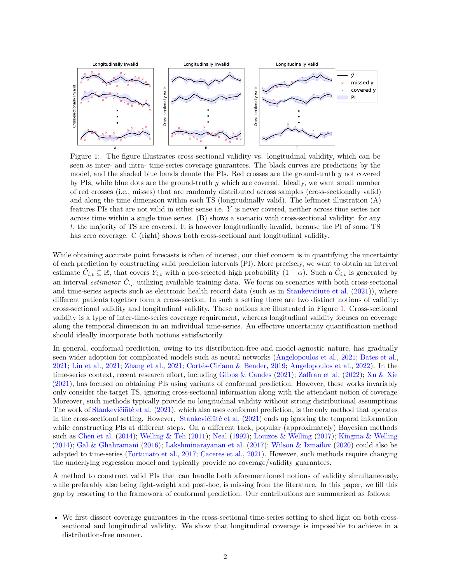

<span id="page-1-0"></span>Figure 1: The figure illustrates cross-sectional validity vs. longitudinal validity, which can be seen as inter- and intra- time-series coverage guarantees. The black curves are predictions by the model, and the shaded blue bands denote the PIs. Red crosses are the ground-truth *y* not covered by PIs, while blue dots are the ground-truth *y* which are covered. Ideally, we want small number of red crosses (i.e., misses) that are randomly distributed across samples (cross-sectionally valid) and along the time dimension within each TS (longitudinally valid). The leftmost illustration (A) features PIs that are not valid in either sense i.e. *Y* is never covered, neither across time series nor across time within a single time series. (B) shows a scenario with cross-sectional validity: for any *t*, the majority of TS are covered. It is however longitudinally invalid, because the PI of some TS has zero coverage. C (right) shows both cross-sectional and longitudinal validity.

While obtaining accurate point forecasts is often of interest, our chief concern is in quantifying the uncertainty of each prediction by constructing valid prediction intervals (PI). More precisely, we want to obtain an interval estimate  $\hat{C}_{i,t} \subseteq \mathbb{R}$ , that covers  $Y_{i,t}$  with a pre-selected high probability  $(1-\alpha)$ . Such a  $\hat{C}_{i,t}$  is generated by an interval *estimator*  $\hat{C}$ <sub>;</sub> utilizing available training data. We focus on scenarios with both cross-sectional and time-series aspects such as electronic health record data (such as in Stankevičiūtė et al.  $(2021)$ ), where different patients together form a cross-section. In such a setting there are two distinct notions of validity: cross-sectional validity and longitudinal validity. These notions are illustrated in Figure [1.](#page-1-0) Cross-sectional validity is a type of inter-time-series coverage requirement, whereas longitudinal validity focuses on coverage along the temporal dimension in an individual time-series. An effective uncertainty quantification method should ideally incorporate both notions satisfactorily.

In general, conformal prediction, owing to its distribution-free and model-agnostic nature, has gradually seen wider adoption for complicated models such as neural networks [\(Angelopoulos et al.,](#page-11-0) [2021;](#page-11-0) [Bates et al.,](#page-11-1) [2021;](#page-11-1) [Lin et al.,](#page-13-1) [2021;](#page-13-1) [Zhang et al.,](#page-14-0) [2021;](#page-14-0) [Cortés-Ciriano & Bender,](#page-11-2) [2019;](#page-11-2) [Angelopoulos et al.,](#page-11-3) [2022\)](#page-11-3). In the time-series context, recent research effort, including [Gibbs & Candes](#page-12-0) [\(2021\)](#page-12-0); [Zaffran et al.](#page-14-1) [\(2022\)](#page-14-1); [Xu & Xie](#page-14-2) [\(2021\)](#page-14-2), has focused on obtaining PIs using variants of conformal prediction. However, these works invariably only consider the target TS, ignoring cross-sectional information along with the attendant notion of coverage. Moreover, such methods typically provide no longitudinal validity without strong distributional assumptions. The work of Stankevičiūtė et al. [\(2021\)](#page-13-0), which also uses conformal prediction, is the only method that operates in the cross-sectional setting. However, Stankevičiūtė et al. [\(2021\)](#page-13-0) ends up ignoring the temporal information while constructing PIs at different steps. On a different tack, popular (approximately) Bayesian methods such as [Chen et al.](#page-11-4) [\(2014\)](#page-11-4); [Welling & Teh](#page-13-2) [\(2011\)](#page-13-2); [Neal](#page-13-3) [\(1992\)](#page-13-3); [Louizos & Welling](#page-13-4) [\(2017\)](#page-13-4); [Kingma & Welling](#page-12-1) [\(2014\)](#page-12-1); [Gal & Ghahramani](#page-12-2) [\(2016\)](#page-12-2); [Lakshminarayanan et al.](#page-13-5) [\(2017\)](#page-13-5); [Wilson & Izmailov](#page-14-3) [\(2020\)](#page-14-3) could also be adapted to time-series [\(Fortunato et al.,](#page-12-3) [2017;](#page-12-3) [Caceres et al.,](#page-11-5) [2021\)](#page-11-5). However, such methods require changing the underlying regression model and typically provide no coverage/validity guarantees.

A method to construct valid PIs that can handle both aforementioned notions of validity simultaneously, while preferably also being light-weight and post-hoc, is missing from the literature. In this paper, we fill this gap by resorting to the framework of conformal prediction. Our contributions are summarized as follows:

• We first dissect coverage guarantees in the cross-sectional time-series setting to shed light on both crosssectional and longitudinal validity. We show that longitudinal coverage is impossible to achieve in a distribution-free manner.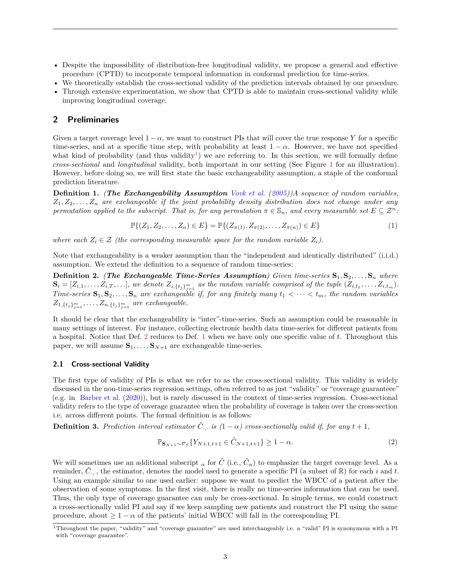- Despite the impossibility of distribution-free longitudinal validity, we propose a general and effective procedure (CPTD) to incorporate temporal information in conformal prediction for time-series.
- We theoretically establish the cross-sectional validity of the prediction intervals obtained by our procedure.
- Through extensive experimentation, we show that CPTD is able to maintain cross-sectional validity while improving longitudinal coverage.

# **2 Preliminaries**

Given a target coverage level  $1 - \alpha$ , we want to construct PIs that will cover the true response Y for a specific time-series, and at a specific time step, with probability at least  $1 - \alpha$ . However, we have not specified what kind of probability (and thus validity<sup>[1](#page-0-0)</sup>) we are referring to. In this section, we will formally define *cross-sectional* and *longitudinal* validity, both important in our setting (See Figure [1](#page-1-0) for an illustration). However, before doing so, we will first state the basic exchangeability assumption, a staple of the conformal prediction literature.

<span id="page-2-1"></span>**Definition 1.** *(The Exchangeability Assumption [Vovk et al.](#page-13-6) [\(2005\)](#page-13-6))A sequence of random variables, Z*1*, Z*2*, . . . , Z<sup>n</sup> are exchangeable if the joint probability density distribution does not change under any permutation applied to the subscript. That is, for any permutation*  $\pi \in \mathbb{S}_n$ , and every measurable set  $E \subseteq \mathbb{Z}^n$ :

$$
\mathbb{P}\{(Z_1, Z_2, \dots, Z_n) \in E\} = \mathbb{P}\{(Z_{\pi(1)}, Z_{\pi(2)}, \dots, Z_{\pi(n)}) \in E\}
$$
\n(1)

*where each*  $Z_i \in \mathcal{Z}$  *(the corresponding measurable space for the random variable*  $Z_i$ *).* 

Note that exchangeability is a weaker assumption than the "independent and identically distributed" (i.i.d.) assumption. We extend the definition to a sequence of random time-series:

<span id="page-2-0"></span>**Definition 2.** *(The Exchangeable Time-Series Assumption) Given time-series* **S**1*,* **S**2*, . . . ,* **S***<sup>n</sup> where*  $\mathbf{S}_i = [Z_{i,1},\ldots,Z_{i,T},\ldots],$  we denote  $Z_{i,\{t_j\}_{j=1}^m}$  as the random variable comprised of the tuple  $(Z_{i,t_1},\ldots,Z_{i,t_m}).$ *Time-series*  $\mathbf{S}_1, \mathbf{S}_2, \ldots, \mathbf{S}_n$  are exchangeable if, for any finitely many  $t_1 < \cdots < t_m$ , the random variables  $Z_{1,\{t_j\}_{j=1}^m}, \ldots, Z_{n,\{t_j\}_{j=1}^m}$  are exchangeable.

It should be clear that the exchangeability is "inter"-time-series. Such an assumption could be reasonable in many settings of interest. For instance, collecting electronic health data time-series for different patients from a hospital. Notice that Def. [2](#page-2-0) reduces to Def. [1](#page-2-1) when we have only one specific value of *t*. Throughout this paper, we will assume  $S_1, \ldots, S_{N+1}$  are exchangeable time-series.

### **2.1 Cross-sectional Validity**

The first type of validity of PIs is what we refer to as the cross-sectional validity. This validity is widely discussed in the non-time-series regression settings, often referred to as just "validity" or "coverage guaranteee" (e.g. in [Barber et al.](#page-11-6) [\(2020\)](#page-11-6)), but is rarely discussed in the context of time-series regression. Cross-sectional validity refers to the type of coverage guarantee when the probability of coverage is taken over the cross-section i.e. across different points. The formal definition is as follows:

<span id="page-2-2"></span>**Definition 3.** Prediction interval estimator  $\hat{C}$ , is  $(1 - \alpha)$  cross-sectionally valid if, for any  $t + 1$ ,

$$
\mathbb{P}_{\mathbf{S}_{N+1}\sim\mathcal{P}_S} \{ Y_{N+1,t+1} \in \hat{C}_{N+1,t+1} \} \ge 1 - \alpha. \tag{2}
$$

We will sometimes use an additional subscript  $\alpha$  for  $\hat{C}$  (i.e.,  $\hat{C}_{\alpha}$ ) to emphasize the target coverage level. As a reminder,  $\hat{C}_{\cdot,\cdot}$ , the estimator, denotes the model used to generate a specific PI (a subset of  $\mathbb{R}$ ) for each *i* and *t*. Using an example similar to one used earlier: suppose we want to predict the WBCC of a patient after the observation of some symptoms. In the first visit, there is really no time-series information that can be used. Thus, the only type of coverage guarantee can only be cross-sectional. In simple terms, we could construct a cross-sectionally valid PI and say if we keep sampling new patients and construct the PI using the same procedure, about  $> 1 - \alpha$  of the patients' initial WBCC will fall in the corresponding PI.

<sup>1</sup>Throughout the paper, "validity" and "coverage guarantee" are used interchangeably i.e. a "valid" PI is synonymous with a PI with "coverage guarantee".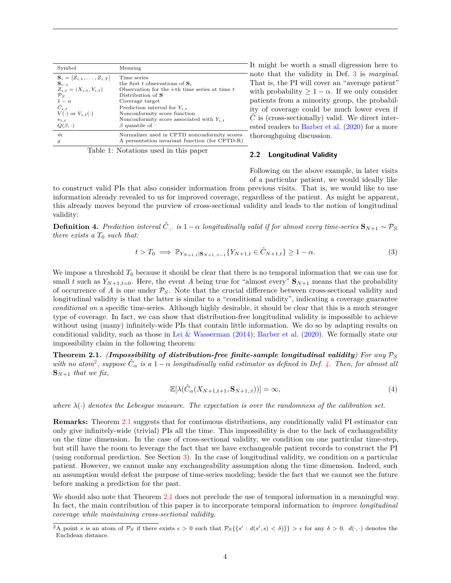| Symbol                             | Meaning                                                                                                                                                                                                                                                                                                                            |
|------------------------------------|------------------------------------------------------------------------------------------------------------------------------------------------------------------------------------------------------------------------------------------------------------------------------------------------------------------------------------|
| $S_i = [Z_{i,1}, \ldots, Z_{i,T}]$ | Time series                                                                                                                                                                                                                                                                                                                        |
| $\mathbf{S}_{i, :t}$               | the first t observations of $S_i$                                                                                                                                                                                                                                                                                                  |
| $Z_{i,t} = (X_{i,t}, Y_{i,t})$     | Observation for the <i>i</i> -th time series at time $t$                                                                                                                                                                                                                                                                           |
| $\mathcal{P}_S$                    | Distribution of S                                                                                                                                                                                                                                                                                                                  |
| $1-\alpha$                         | Coverage target                                                                                                                                                                                                                                                                                                                    |
| $\hat{C}_{i,t}$                    | Prediction interval for $Y_{i,t}$                                                                                                                                                                                                                                                                                                  |
| $V(\cdot)$ or $V_{i,t}(\cdot)$     | Nonconformity score function                                                                                                                                                                                                                                                                                                       |
| $v_{i,t}$                          | Nonconformity score associated with $Y_{i,t}$                                                                                                                                                                                                                                                                                      |
| $Q(\beta, \cdot)$                  | $\beta$ quantile of $\cdot$                                                                                                                                                                                                                                                                                                        |
| $\hat{m}$                          | Normalizer used in CPTD nonconformity scores                                                                                                                                                                                                                                                                                       |
| $\boldsymbol{g}$                   | A permutation invariant function (for CPTD-R)                                                                                                                                                                                                                                                                                      |
|                                    | $\overline{a}$ and $\overline{a}$ and $\overline{a}$ and $\overline{a}$ and $\overline{a}$ and $\overline{a}$ and $\overline{a}$ and $\overline{a}$ and $\overline{a}$ and $\overline{a}$ and $\overline{a}$ and $\overline{a}$ and $\overline{a}$ and $\overline{a}$ and $\overline{a}$ and $\overline{a}$ and $\overline{a}$ and |

Table 1: Notations used in this paper

It might be worth a small digression here to note that the validity in Def. [3](#page-2-2) is *marginal*. That is, the PI will cover an "average patient" with probability  $> 1 - \alpha$ . If we only consider patients from a minority group, the probability of coverage could be much lower even if  $\ddot{C}$  is (cross-sectionally) valid. We direct interested readers to [Barber et al.](#page-11-6) [\(2020\)](#page-11-6) for a more thoroughgoing discussion.

#### **2.2 Longitudinal Validity**

Following on the above example, in later visits of a particular patient, we would ideally like

to construct valid PIs that also consider information from previous visits. That is, we would like to use information already revealed to us for improved coverage, regardless of the patient. As might be apparent, this already moves beyond the purview of cross-sectional validity and leads to the notion of longitudinal validity:

<span id="page-3-0"></span>**Definition 4.** Prediction interval  $\hat{C}$ , is  $1-\alpha$  longitudinally valid if for almost every time-series  $\mathbf{S}_{N+1} \sim \mathcal{P}_S$ *there exists a T*<sup>0</sup> *such that:*

$$
t > T_0 \implies \mathbb{P}_{Y_{N+1,t}|\mathbf{S}_{N+1,t-1}} \{ Y_{N+1,t} \in \hat{C}_{N+1,t} \} \ge 1 - \alpha.
$$
 (3)

We impose a threshold  $T_0$  because it should be clear that there is no temporal information that we can use for small *t* such as  $Y_{N+1,t=0}$ . Here, the event *A* being true for "almost every"  $\mathbf{S}_{N+1}$  means that the probability of occurrence of  $A$  is one under  $P_S$ . Note that the crucial difference between cross-sectional validity and longitudinal validity is that the latter is similar to a "conditional validity", indicating a coverage guarantee *conditional on* a specific time-series. Although highly desirable, it should be clear that this is a much stronger type of coverage. In fact, we can show that distribution-free longitudinal validity is impossible to achieve without using (many) infinitely-wide PIs that contain little information. We do so by adapting results on conditional validity, such as those in [Lei & Wasserman](#page-13-7) [\(2014\)](#page-13-7); [Barber et al.](#page-11-6) [\(2020\)](#page-11-6). We formally state our impossibility claim in the following theorem:

<span id="page-3-1"></span>**Theorem 2.1.** *(Impossibility of distribution-free finite-sample longitudinal validity)* For any  $P_S$  $with$  *no atom*<sup>[2](#page-0-0)</sup>, suppose  $\hat{C}_{\alpha}$  *is a* 1 –  $\alpha$  *longitudinally valid estimator as defined in Def.* [4.](#page-3-0) Then, for almost all  $\mathbf{S}_{N+1}$  *that we fix,* 

$$
\mathbb{E}[\lambda(\hat{C}_{\alpha}(X_{N+1,t+1}, \mathbf{S}_{N+1,:t}))] = \infty,
$$
\n(4)

*where*  $\lambda(\cdot)$  *denotes the Lebesque measure. The expectation is over the randomness of the calibration set.* 

**Remarks:** Theorem [2.1](#page-3-1) suggests that for continuous distributions, any conditionally valid PI estimator can only give infinitely-wide (trivial) PIs all the time. This impossibility is due to the lack of exchangeability on the time dimension. In the case of cross-sectional validity, we condition on one particular time-step, but still have the room to leverage the fact that we have exchangeable patient records to construct the PI (using conformal prediction. See Section [3\)](#page-4-0). In the case of longitudinal validity, we condition on a particular patient. However, we cannot make any exchangeability assumption along the time dimension. Indeed, such an assumption would defeat the purpose of time-series modeling; beside the fact that we cannot see the future before making a prediction for the past.

We should also note that Theorem [2.1](#page-3-1) does not preclude the use of temporal information in a meaningful way. In fact, the main contribution of this paper is to incorporate temporal information to *improve longitudinal coverage while maintaining cross-sectional validity*.

<sup>2</sup>A point *s* is an atom of  $\mathcal{P}_S$  if there exists  $\epsilon > 0$  such that  $\mathcal{P}_S\{\{s' : d(s', s) < \delta\}\} > \epsilon$  for any  $\delta > 0$ .  $d(\cdot, \cdot)$  denotes the Euclidean distance.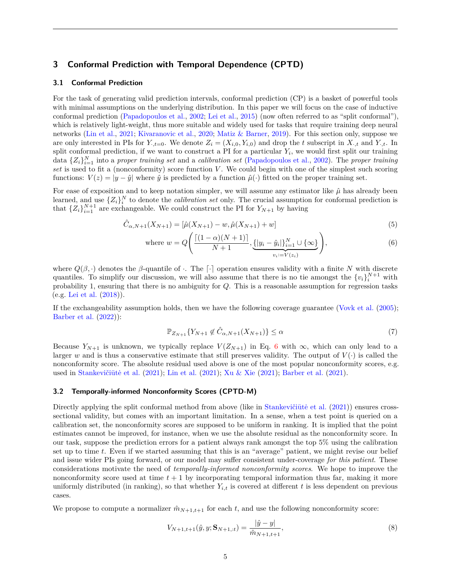# <span id="page-4-0"></span>**3 Conformal Prediction with Temporal Dependence (CPTD)**

### **3.1 Conformal Prediction**

For the task of generating valid prediction intervals, conformal prediction (CP) is a basket of powerful tools with minimal assumptions on the underlying distribution. In this paper we will focus on the case of inductive conformal prediction [\(Papadopoulos et al.,](#page-13-8) [2002;](#page-13-8) [Lei et al.,](#page-13-9) [2015\)](#page-13-9) (now often referred to as "split conformal"), which is relatively light-weight, thus more suitable and widely used for tasks that require training deep neural networks [\(Lin et al.,](#page-13-1) [2021;](#page-13-1) [Kivaranovic et al.,](#page-12-4) [2020;](#page-12-4) [Matiz & Barner,](#page-13-10) [2019\)](#page-13-10). For this section only, suppose we are only interested in PIs for  $Y_{\cdot,\cdot,\cdot}=0$ . We denote  $Z_i=(X_{i,0}, Y_{i,0})$  and drop the *t* subscript in  $X_{\cdot,\cdot,\cdot}$  and  $Y_{\cdot,\cdot,\cdot}$ . In split conformal prediction, if we want to construct a PI for a particular *Y<sup>i</sup>* , we would first split our training data  $\{Z_i\}_{i=1}^N$  into a *proper training set* and a *calibration set* [\(Papadopoulos et al.,](#page-13-8) [2002\)](#page-13-8). The *proper training set* is used to fit a (nonconformity) score function *V* . We could begin with one of the simplest such scoring functions:  $V(z) = |y - \hat{y}|$  where  $\hat{y}$  is predicted by a function  $\hat{\mu}(\cdot)$  fitted on the proper training set.

For ease of exposition and to keep notation simpler, we will assume any estimator like  $\hat{\mu}$  has already been learned, and use  $\{Z_i\}_i^N$  to denote the *calibration set* only. The crucial assumption for conformal prediction is that  $\{Z_i\}_{i=1}^{N+1}$  are exchangeable. We could construct the PI for  $Y_{N+1}$  by having

$$
\hat{C}_{\alpha,N+1}(X_{N+1}) = [\hat{\mu}(X_{N+1}) - w, \hat{\mu}(X_{N+1}) + w]
$$
\n(5)

where 
$$
w = Q\left(\frac{\left[(1-\alpha)(N+1)\right]}{N+1}, \underbrace{\{|y_i - \hat{y}_i|\}_{i=1}^N \cup \{\infty\}}_{v_i := V(z_i)}\right),
$$
 (6)

where  $Q(\beta, \cdot)$  denotes the  $\beta$ -quantile of  $\cdot$ . The  $\lceil \cdot \rceil$  operation ensures validity with a finite *N* with discrete quantiles. To simplify our discussion, we will also assume that there is no tie amongst the  ${v_i}_i^{N+1}$  with probability 1, ensuring that there is no ambiguity for *Q*. This is a reasonable assumption for regression tasks (e.g. [Lei et al.](#page-13-11) [\(2018\)](#page-13-11)).

If the exchangeability assumption holds, then we have the following coverage guarantee [\(Vovk et al.](#page-13-6) [\(2005\)](#page-13-6); [Barber et al.](#page-11-7) [\(2022\)](#page-11-7)):

<span id="page-4-1"></span>
$$
\mathbb{P}_{Z_{N+1}}\{Y_{N+1} \notin \hat{C}_{\alpha,N+1}(X_{N+1})\} \le \alpha \tag{7}
$$

Because  $Y_{N+1}$  is unknown, we typically replace  $V(Z_{N+1})$  in Eq. [6](#page-4-1) with  $\infty$ , which can only lead to a larger *w* and is thus a conservative estimate that still preserves validity. The output of  $V(\cdot)$  is called the nonconformity score. The absolute residual used above is one of the most popular nonconformity scores, e.g. used in Stankevičiūtė et al. [\(2021\)](#page-11-8); [Lin et al.](#page-13-1) (2021); [Xu & Xie](#page-14-2) (2021); [Barber et al.](#page-11-8) (2021).

### **3.2 Temporally-informed Nonconformity Scores (CPTD-M)**

Directly applying the split conformal method from above (like in Stankevičiūtė et al.  $(2021)$ ) ensures crosssectional validity, but comes with an important limitation. In a sense, when a test point is queried on a calibration set, the nonconformity scores are supposed to be uniform in ranking. It is implied that the point estimates cannot be improved, for instance, when we use the absolute residual as the nonconformity score. In our task, suppose the prediction errors for a patient always rank amongst the top 5% using the calibration set up to time *t*. Even if we started assuming that this is an "average" patient, we might revise our belief and issue wider PIs going forward, or our model may suffer consistent under-coverage *for this patient*. These considerations motivate the need of *temporally-informed nonconformity scores*. We hope to improve the nonconformity score used at time  $t + 1$  by incorporating temporal information thus far, making it more uniformly distributed (in ranking), so that whether  $Y_{i,t}$  is covered at different  $t$  is less dependent on previous cases.

We propose to compute a normalizer  $\hat{m}_{N+1,t+1}$  for each t, and use the following nonconformity score:

$$
V_{N+1,t+1}(\hat{y}, y; \mathbf{S}_{N+1,t}) = \frac{|\hat{y} - y|}{\hat{m}_{N+1,t+1}},
$$
\n(8)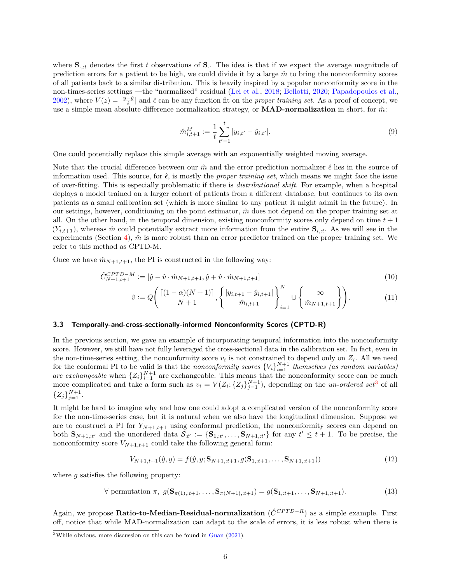where  $S_{\cdot,t}$  denotes the first *t* observations of  $S$ . The idea is that if we expect the average magnitude of prediction errors for a patient to be high, we could divide it by a large  $\hat{m}$  to bring the nonconformity scores of all patients back to a similar distribution. This is heavily inspired by a popular nonconformity score in the non-times-series settings —the "normalized" residual [\(Lei et al.,](#page-13-11) [2018;](#page-13-11) [Bellotti,](#page-11-9) [2020;](#page-11-9) [Papadopoulos et al.,](#page-13-8) [2002\)](#page-13-8), where  $V(z) = |\frac{y-\hat{y}}{\hat{\epsilon}}|$  and  $\hat{\epsilon}$  can be any function fit on the *proper training set*. As a proof of concept, we use a simple mean absolute difference normalization strategy, or **MAD-normalization** in short, for  $\hat{m}$ :

<span id="page-5-0"></span>
$$
\hat{m}_{i,t+1}^M := \frac{1}{t} \sum_{t'=1}^t |y_{i,t'} - \hat{y}_{i,t'}|.
$$
\n(9)

One could potentially replace this simple average with an exponentially weighted moving average.

Note that the crucial difference between our  $\hat{m}$  and the error prediction normalizer  $\hat{\epsilon}$  lies in the source of information used. This source, for  $\hat{\epsilon}$ , is mostly the *proper training set*, which means we might face the issue of over-fitting. This is especially problematic if there is *distributional shift*. For example, when a hospital deploys a model trained on a larger cohort of patients from a different database, but continues to its own patients as a small calibration set (which is more similar to any patient it might admit in the future). In our settings, however, conditioning on the point estimator, *m*ˆ does not depend on the proper training set at all. On the other hand, in the temporal dimension, existing nonconformity scores only depend on time  $t + 1$  $(Y_{i,t+1})$ , whereas  $\hat{m}$  could potentially extract more information from the entire  $S_{i,t}$ . As we will see in the experiments (Section [4\)](#page-7-0),  $\hat{m}$  is more robust than an error predictor trained on the proper training set. We refer to this method as CPTD-M.

Once we have  $\hat{m}_{N+1,t+1}$ , the PI is constructed in the following way:

$$
\hat{C}_{N+1,t+1}^{CPTD-M} := [\hat{y} - \hat{v} \cdot \hat{m}_{N+1,t+1}, \hat{y} + \hat{v} \cdot \hat{m}_{N+1,t+1}] \tag{10}
$$

<span id="page-5-1"></span>
$$
\hat{v} := Q\left(\frac{\left[(1-\alpha)(N+1)\right]}{N+1}, \left\{\frac{|y_{i,t+1} - \hat{y}_{i,t+1}|}{\hat{m}_{i,t+1}}\right\}_{i=1}^N \cup \left\{\frac{\infty}{\hat{m}_{N+1,t+1}}\right\}\right). \tag{11}
$$

### **3.3 Temporally-and-cross-sectionally-informed Nonconformity Scores (CPTD-R)**

In the previous section, we gave an example of incorporating temporal information into the nonconformity score. However, we still have not fully leveraged the cross-sectional data in the calibration set. In fact, even in the non-time-series setting, the nonconformity score  $v_i$  is not constrained to depend only on  $Z_i$ . All we need for the conformal PI to be valid is that the *nonconformity scores*  $\{V_i\}_{i=1}^{N+1}$  *themselves (as random variables) are exchangeable* when  ${Z_i}_{i=1}^{N+1}$  are exchangeable. This means that the nonconformity score can be much more complicated and take a form such as  $v_i = V(Z_i; \{Z_j\}_{j=1}^{N+1})$ , depending on the *un-ordered set*<sup>[3](#page-0-0)</sup> of all  ${Z_j}_{j=1}^{N+1}$ .

It might be hard to imagine why and how one could adopt a complicated version of the nonconformity score for the non-time-series case, but it is natural when we also have the longitudinal dimension. Suppose we are to construct a PI for  $Y_{N+1,t+1}$  using conformal prediction, the nonconformity scores can depend on both  $\mathbf{S}_{N+1,i}$  and the unordered data  $\mathcal{S}_{:t'} := \{\mathbf{S}_{1,i}, \ldots, \mathbf{S}_{N+1,i'}\}$  for any  $t' \leq t+1$ . To be precise, the nonconformity score  $V_{N+1,t+1}$  could take the following general form:

<span id="page-5-3"></span><span id="page-5-2"></span>
$$
V_{N+1,t+1}(\hat{y},y) = f(\hat{y},y; \mathbf{S}_{N+1,t+1}, g(\mathbf{S}_{1,t+1},\ldots,\mathbf{S}_{N+1,t+1}))
$$
\n(12)

where *q* satisfies the following property:

$$
\forall \text{ permutation } \pi, \ g(\mathbf{S}_{\pi(1),:t+1},\ldots,\mathbf{S}_{\pi(N+1),:t+1}) = g(\mathbf{S}_{1,:t+1},\ldots,\mathbf{S}_{N+1,:t+1}). \tag{13}
$$

Again, we propose **Ratio-to-Median-Residual-normalization** ( $\hat{C}^{CPTD-R}$ ) as a simple example. First off, notice that while MAD-normalization can adapt to the scale of errors, it is less robust when there is

<sup>3</sup>While obvious, more discussion on this can be found in [Guan](#page-12-5) [\(2021\)](#page-12-5).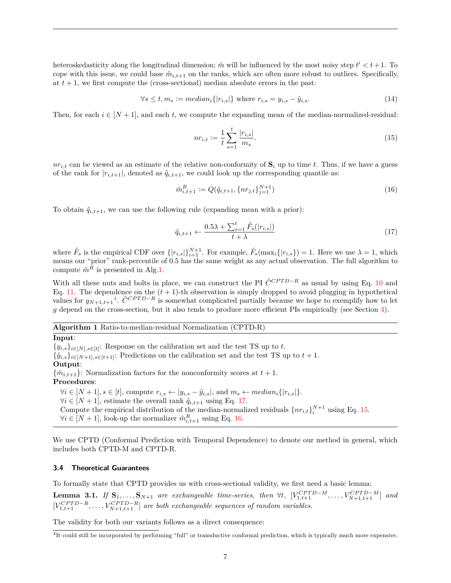heteroskedasticity along the longitudinal dimension;  $\hat{m}$  will be influenced by the most noisy step  $t' < t + 1$ . To cope with this issue, we could base  $\hat{m}_{i,t+1}$  on the ranks, which are often more robust to outliers. Specifically, at  $t + 1$ , we first compute the (cross-sectional) median absolute errors in the past:

$$
\forall s \leq t, m_s := median_i \{|r_{i,s}|\} \text{ where } r_{i,s} = y_{i,s} - \hat{y}_{i,s}. \tag{14}
$$

Then, for each  $i \in [N + 1]$ , and each t, we compute the expanding mean of the median-normalized-residual:

<span id="page-6-3"></span><span id="page-6-2"></span>
$$
nr_{i,t} := \frac{1}{t} \sum_{s=1}^{t} \frac{|r_{i,s}|}{m_s}.
$$
\n(15)

 $nr_{i,t}$  can be viewed as an estimate of the relative non-conformity of  $\mathbf{S}_i$  up to time t. Thus, if we have a guess of the rank for  $|r_{i,t+1}|$ , denoted as  $\hat{q}_{i,t+1}$ , we could look up the corresponding quantile as:

$$
\hat{m}_{i,t+1}^R := Q(\hat{q}_{i,t+1}, \{nr_{j,t}\}_{j=1}^{N+1})
$$
\n(16)

To obtain  $\hat{q}_{i,t+1}$ , we can use the following rule (expanding mean with a prior):

<span id="page-6-1"></span>
$$
\hat{q}_{i,t+1} \leftarrow \frac{0.5\lambda + \sum_{s=1}^{t} \hat{F}_s(|r_{i,s}|)}{t+\lambda} \tag{17}
$$

where  $\hat{F}_s$  is the empirical CDF over  $\{|r_{i,s}|\}_{i=1}^{N+1}$ . For example,  $\hat{F}_s(\max_i\{|r_{i,s}\}) = 1$ . Here we use  $\lambda = 1$ , which means our "prior" rank-percentile of 0.5 has the same weight as any actual observation. The full algorithm to compute  $\hat{m}^R$  is presented in Alg[.1.](#page-6-0)

With all these nuts and bolts in place, we can construct the PI  $\hat{C}^{CPTD-R}$  as usual by using Eq. [10](#page-5-0) and Eq. [11.](#page-5-1) The dependence on the  $(t + 1)$ -th observation is simply dropped to avoid plugging in hypothetical values for  $y_{N+1,t+1}$ <sup>[4](#page-0-0)</sup>.  $\hat{C}^{CPTD-R}$  is somewhat complicated partially because we hope to exemplify how to let *g* depend on the cross-section, but it also tends to produce more efficient PIs empirically (see Section [4\)](#page-7-0).

# <span id="page-6-0"></span>**Algorithm 1** Ratio-to-median-residual Normalization (CPTD-R)

# **Input**:

 ${y_{i,s}}_{i\in[N],s\in[t]}$ : Response on the calibration set and the test TS up to *t*.  $\{\hat{y}_{i,s}\}_{i\in[N+1],s\in[t+1]}$ : Predictions on the calibration set and the test TS up to  $t+1$ . **Output**:  ${\hat{m}}_{i,t+1}$ : Normalization factors for the nonconformity scores at  $t+1$ . **Procedures**:  $\forall i \in [N+1], s \in [t]$ , compute  $r_{i,s} \leftarrow |y_{i,s} - \hat{y}_{i,s}|$ , and  $m_s \leftarrow \text{median}_i\{|r_{i,s}|\}.$  $∀i ∈ [N + 1]$ , estimate the overall rank  $\hat{q}_{i,t+1}$  using Eq. [17.](#page-6-1)

Compute the empirical distribution of the median-normalized residuals  $\{nr_{i,t}\}_{i=1}^{N+1}$  using Eq. [15.](#page-6-2)

 $\forall i \in [N+1]$ , look-up the normalizer  $\hat{m}_{i,t+1}^R$  using Eq. [16.](#page-6-3)

We use CPTD (Conformal Prediction with Temporal Dependence) to denote our method in general, which includes both CPTD-M and CPTD-R.

#### **3.4 Theoretical Guarantees**

To formally state that CPTD provides us with cross-sectional validity, we first need a basic lemma:

<span id="page-6-4"></span>**Lemma 3.1.** If  $S_1, \ldots, S_{N+1}$  are exchangeable time-series, then  $\forall t$ ,  $[V_{1,t+1}^{CPTD-M}, \ldots, V_{N+1,t+1}^{CPTD-M}]$  and  $[V_{1,t+1}^{CPTD-R}, \ldots, V_{N+1,t+1}^{CPTD-R}]$  are both exchangeable sequences of random variables.

The validity for both our variants follows as a direct consequence:

<sup>&</sup>lt;sup>4</sup>It could still be incorporated by performing "full" or transductive conformal prediction, which is typically much more expensive.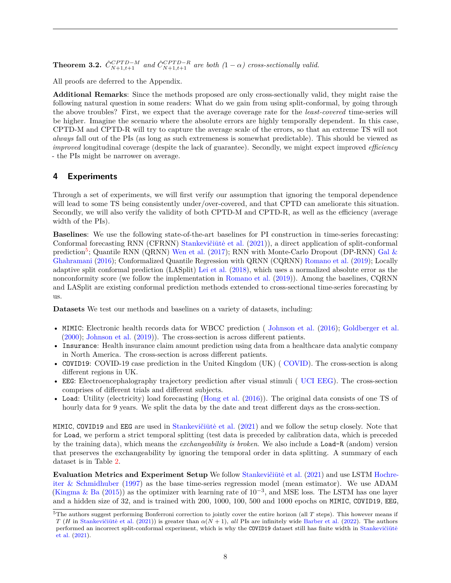<span id="page-7-1"></span>**Theorem 3.2.**  $\hat{C}_{N+1,t+1}^{CPTD-M}$  and  $\hat{C}_{N+1,t+1}^{CPTD-R}$  are both  $(1 - \alpha)$  cross-sectionally valid.

All proofs are deferred to the Appendix.

**Additional Remarks**: Since the methods proposed are only cross-sectionally valid, they might raise the following natural question in some readers: What do we gain from using split-conformal, by going through the above troubles? First, we expect that the average coverage rate for the *least-covered* time-series will be higher. Imagine the scenario where the absolute errors are highly temporally dependent. In this case, CPTD-M and CPTD-R will try to capture the average scale of the errors, so that an extreme TS will not *always* fall out of the PIs (as long as such extremeness is somewhat predictable). This should be viewed as *improved* longitudinal coverage (despite the lack of guarantee). Secondly, we might expect improved *efficiency* - the PIs might be narrower on average.

# <span id="page-7-0"></span>**4 Experiments**

Through a set of experiments, we will first verify our assumption that ignoring the temporal dependence will lead to some TS being consistently under/over-covered, and that CPTD can ameliorate this situation. Secondly, we will also verify the validity of both CPTD-M and CPTD-R, as well as the efficiency (average width of the PIs).

**Baselines**: We use the following state-of-the-art baselines for PI construction in time-series forecasting: Conformal forecasting RNN (CFRNN) Stankevičiūtė et al. [\(2021\)](#page-13-0)), a direct application of split-conformal prediction<sup>[5](#page-0-0)</sup>; Quantile RNN (QRNN) [Wen et al.](#page-14-4) [\(2017\)](#page-14-4); RNN with Monte-Carlo Dropout (DP-RNN) [Gal &](#page-12-2) [Ghahramani](#page-12-2) [\(2016\)](#page-12-2); Conformalized Quantile Regression with QRNN (CQRNN) [Romano et al.](#page-13-12) [\(2019\)](#page-13-12); Locally adaptive split conformal prediction (LASplit) [Lei et al.](#page-13-11) [\(2018\)](#page-13-11), which uses a normalized absolute error as the nonconformity score (we follow the implementation in [Romano et al.](#page-13-12) [\(2019\)](#page-13-12)). Among the baselines, CQRNN and LASplit are existing conformal prediction methods extended to cross-sectional time-series forecasting by us.

**Datasets** We test our methods and baselines on a variety of datasets, including:

- MIMIC: Electronic health records data for WBCC prediction ( [Johnson et al.](#page-12-6) [\(2016\)](#page-12-6); [Goldberger et al.](#page-12-7) [\(2000\)](#page-12-7); [Johnson et al.](#page-12-8) [\(2019\)](#page-12-8)). The cross-section is across different patients.
- Insurance: Health insurance claim amount prediction using data from a healthcare data analytic company in North America. The cross-section is across different patients.
- COVID19: COVID-19 case prediction in the United Kingdom (UK) ([COVID\)](#page-11-10). The cross-section is along different regions in UK.
- EEG: Electroencephalography trajectory prediction after visual stimuli ( [UCI EEG\)](#page-13-13). The cross-section comprises of different trials and different subjects.
- Load: Utility (electricity) load forecasting [\(Hong et al.](#page-12-9) [\(2016\)](#page-12-9)). The original data consists of one TS of hourly data for 9 years. We split the data by the date and treat different days as the cross-section.

MIMIC, COVID19 and EEG are used in Stankevičiūtė et al. [\(2021\)](#page-13-0) and we follow the setup closely. Note that for Load, we perform a strict temporal splitting (test data is preceded by calibration data, which is preceded by the training data), which means the *exchangeability is broken*. We also include a Load-R (andom) version that preserves the exchangeability by ignoring the temporal order in data splitting. A summary of each dataset is in Table [2.](#page-8-0)

**Evaluation Metrics and Experiment Setup** We follow Stankevičiūtė et al. [\(2021\)](#page-13-0) and use LSTM [Hochre](#page-12-10)[iter & Schmidhuber](#page-12-10) [\(1997\)](#page-12-10) as the base time-series regression model (mean estimator). We use ADAM [\(Kingma & Ba](#page-12-11) [\(2015\)](#page-12-11)) as the optimizer with learning rate of 10−<sup>3</sup> , and MSE loss. The LSTM has one layer and a hidden size of 32, and is trained with 200, 1000, 100, 500 and 1000 epochs on MIMIC, COVID19, EEG,

<sup>&</sup>lt;sup>5</sup>The authors suggest performing Bonferroni correction to jointly cover the entire horizon (all *T* steps). This however means if *T* (*H* in Stankevičiūtė et al. [\(2021\)](#page-13-0)) is greater than  $\alpha(N + 1)$ , *all* PIs are infinitely wide [Barber et al.](#page-11-7) [\(2022\)](#page-11-7). The authors performed an incorrect split-conformal experiment, which is why the COVID19 dataset still has finite width in Stankevičiūtė [et al.](#page-13-0) [\(2021\)](#page-13-0).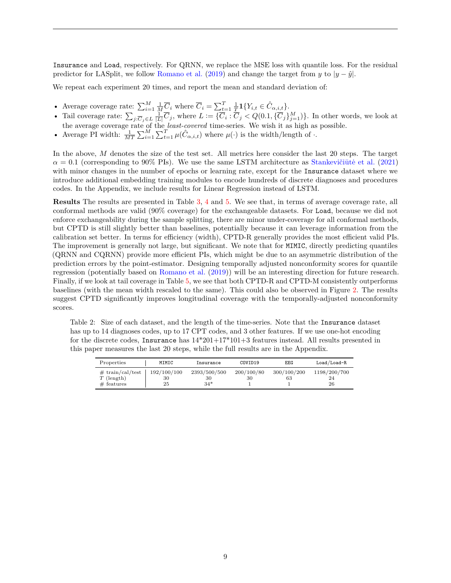Insurance and Load, respectively. For QRNN, we replace the MSE loss with quantile loss. For the residual predictor for LASplit, we follow [Romano et al.](#page-13-12) [\(2019\)](#page-13-12) and change the target from *y* to  $|y - \hat{y}|$ .

We repeat each experiment 20 times, and report the mean and standard deviation of:

- Average coverage rate:  $\sum_{i=1}^{M} \frac{1}{M} \overline{C}_i$  where  $\overline{C}_i = \sum_{t=1}^{T} \frac{1}{T} \mathbf{1} \{ Y_{i,t} \in \hat{C}_{\alpha,i,t} \}.$
- Tail coverage rate:  $\sum_{j:\overline{C}_j\in L}\frac{1}{|L|}\overline{C}_j$ , where  $L:=\{\overline{C}_i:\overline{C}_j\lt Q(0.1,\{\overline{C}_j\}_{j=1}^M)\}\.$  In other words, we look at the average coverage rate of the *least-covered* time-series. We wish it as high as possible.
- Average PI width:  $\frac{1}{MT} \sum_{i=1}^{M} \sum_{t=1}^{T} \mu(\hat{C}_{\alpha,i,t})$  where  $\mu(\cdot)$  is the width/length of  $\cdot$ .

In the above, *M* denotes the size of the test set. All metrics here consider the last 20 steps. The target  $\alpha = 0.1$  (corresponding to 90% PIs). We use the same LSTM architecture as Stankevičiūtė et al. [\(2021\)](#page-13-0) with minor changes in the number of epochs or learning rate, except for the Insurance dataset where we introduce additional embedding training modules to encode hundreds of discrete diagnoses and procedures codes. In the Appendix, we include results for Linear Regression instead of LSTM.

**Results** The results are presented in Table [3,](#page-9-0) [4](#page-9-1) and [5.](#page-10-0) We see that, in terms of average coverage rate, all conformal methods are valid (90% coverage) for the exchangeable datasets. For Load, because we did not enforce exchangeability during the sample splitting, there are minor under-coverage for all conformal methods, but CPTD is still slightly better than baselines, potentially because it can leverage information from the calibration set better. In terms for efficiency (width), CPTD-R generally provides the most efficient valid PIs. The improvement is generally not large, but significant. We note that for MIMIC, directly predicting quantiles (QRNN and CQRNN) provide more efficient PIs, which might be due to an asymmetric distribution of the prediction errors by the point-estimator. Designing temporally adjusted nonconformity scores for quantile regression (potentially based on [Romano et al.](#page-13-12) [\(2019\)](#page-13-12)) will be an interesting direction for future research. Finally, if we look at tail coverage in Table [5,](#page-10-0) we see that both CPTD-R and CPTD-M consistently outperforms baselines (with the mean width rescaled to the same). This could also be observed in Figure [2.](#page-9-2) The results suggest CPTD significantly improves longitudinal coverage with the temporally-adjusted nonconformity scores.

<span id="page-8-0"></span>Table 2: Size of each dataset, and the length of the time-series. Note that the Insurance dataset has up to 14 diagnoses codes, up to 17 CPT codes, and 3 other features. If we use one-hot encoding for the discrete codes, Insurance has  $14*201+17*101+3$  features instead. All results presented in this paper measures the last 20 steps, while the full results are in the Appendix.

| Properties                                         | MIMIC                   | Insurance                   | COVID19          | EEG               | Load/Load-R              |
|----------------------------------------------------|-------------------------|-----------------------------|------------------|-------------------|--------------------------|
| # train/cal / test<br>$T$ (length)<br>$#$ features | 192/100/100<br>30<br>25 | 2393/500/500<br>30<br>$34*$ | 200/100/80<br>30 | 300/100/200<br>63 | 1198/200/700<br>24<br>26 |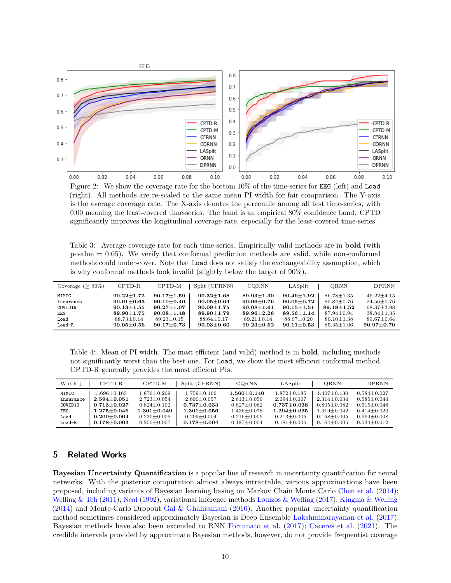

<span id="page-9-2"></span>Figure 2: We show the coverage rate for the bottom 10% of the time-series for EEG (left) and Load (right). All methods are re-scaled to the same mean PI width for fair comparison. The Y-axis is the average coverage rate. The X-axis denotes the percentile among all test time-series, with 0.00 meaning the least-covered time-series. The band is an empirical 80% confidence band. CPTD significantly improves the longitudinal coverage rate, especially for the least-covered time-series.

<span id="page-9-0"></span>Table 3: Average coverage rate for each time-series. Empirically valid methods are in **bold** (with p-value = 0.05). We verify that conformal prediction methods are valid, while non-conformal methods could under-cover. Note that Load does not satisfy the exchangeability assumption, which is why conformal methods look invalid (slightly below the target of 90%).

| Coverage ( $\geq 90\%$ ) | $CPTD-R$         | CPTD-M         | Split (CFRNN)  | <b>CORNN</b>   | LASplit            | ORNN             | <b>DPRNN</b>   |
|--------------------------|------------------|----------------|----------------|----------------|--------------------|------------------|----------------|
| MIMIC                    | $90.22 + 1.72$   | $90.17 + 1.59$ | $90.32 + 1.68$ | $89.93 + 1.30$ | $90.46 + 1.92$     | $86.78 + 1.35$   | $46.22 + 4.15$ |
| Insurance                | $90.01 + 0.63$   | $90.10 + 0.46$ | $90.05 + 0.64$ | $90.06 + 0.76$ | $90.05 {\pm} 0.72$ | $85.84 \pm 0.76$ | $24.56 + 0.76$ |
| COVID19                  | $90.13 \pm 1.55$ | $90.27 + 1.07$ | $90.09 + 1.75$ | $90.08 + 1.61$ | $90.15 + 1.51$     | $89.18 + 1.52$   | $68.37 + 3.98$ |
| EEG                      | $89.90 \pm 1.75$ | $90.08 + 1.48$ | $89.90 + 1.79$ | $89.96 + 2.26$ | $89.56 \pm 1.14$   | $87.94 + 0.94$   | $38.84 + 1.35$ |
| Load                     | $88.73 + 0.14$   | $89.23 + 0.15$ | $88.64 + 0.17$ | $89.21 + 0.14$ | $88.97 + 0.20$     | $80.10 \pm 1.38$ | $89.67 + 0.64$ |
| Load-R                   | $90.05 + 0.56$   | $90.17 + 0.73$ | $90.03 + 0.60$ | $90.23 + 0.62$ | $90.11 \pm 0.53$   | $85.35 \pm 1.06$ | $90.97 + 0.70$ |

<span id="page-9-1"></span>Table 4: Mean of PI width. The most efficient (and valid) method is in **bold**, including methods not significantly worst than the best one. For Load, we show the most efficient conformal method. CPTD-R generally provides the most efficient PIs.

| Width $\downarrow$ | $CPTD-R$        | CPTD-M            | Split (CFRNN)   | <b>CORNN</b>      | LASplit         | ORNN            | <b>DPRNN</b>    |
|--------------------|-----------------|-------------------|-----------------|-------------------|-----------------|-----------------|-----------------|
| MIMIC              | 1.696+0.163     | $1.876 + 0.209$   | $1.759 + 0.166$ | $1.560 + 0.140$   | $1.872 + 0.185$ | $1.407 + 0.130$ | $0.584 + 0.027$ |
| Insurance          | $2.594 + 0.051$ | $2.723 + 0.054$   | $2.690 + 0.057$ | $2.613 + 0.050$   | $2.694 + 0.067$ | $2.314 + 0.034$ | $0.585 + 0.044$ |
| COVID19            | $0.713 + 0.027$ | $0.824 + 0.102$   | $0.737 + 0.033$ | $0.827 + 0.082$   | $0.737 + 0.038$ | $0.805 + 0.082$ | $0.515 + 0.048$ |
| EEG.               | $1.275 + 0.046$ | $1.301 + 0.049$   | $1.301 + 0.056$ | $1.436 \pm 0.078$ | $1.294 + 0.035$ | $1.319 + 0.042$ | $0.414 + 0.020$ |
| Load               | $0.200 + 0.004$ | $0.230 + 0.005$   | $0.209 + 0.004$ | $0.216 + 0.005$   | $0.213 + 0.005$ | $0.168 + 0.005$ | $0.569 + 0.008$ |
| $Load-R$           | $0.178 + 0.003$ | $0.200 \pm 0.007$ | $0.178 + 0.004$ | $0.187 + 0.004$   | $0.181 + 0.005$ | $0.164 + 0.005$ | $0.534 + 0.012$ |

# **5 Related Works**

**Bayesian Uncertainty Quantification** is a popular line of research in uncertainty quantification for neural networks. With the posterior computation almost always intractable, various approximations have been proposed, including variants of Bayesian learning basing on Markov Chain Monte Carlo [Chen et al.](#page-11-4) [\(2014\)](#page-11-4); [Welling & Teh](#page-13-2) [\(2011\)](#page-13-2); [Neal](#page-13-3) [\(1992\)](#page-13-3), variational inference methods [Louizos & Welling](#page-13-4) [\(2017\)](#page-13-4); [Kingma & Welling](#page-12-1)  $(2014)$  and Monte-Carlo Dropout [Gal & Ghahramani](#page-12-2)  $(2016)$ . Another popular uncertainty quantification method sometimes considered approximately Bayesian is Deep Ensemble [Lakshminarayanan et al.](#page-13-5) [\(2017\)](#page-13-5). Bayesian methods have also been extended to RNN [Fortunato et al.](#page-12-3) [\(2017\)](#page-12-3); [Caceres et al.](#page-11-5) [\(2021\)](#page-11-5). The credible intervals provided by approximate Bayesian methods, however, do not provide frequentist coverage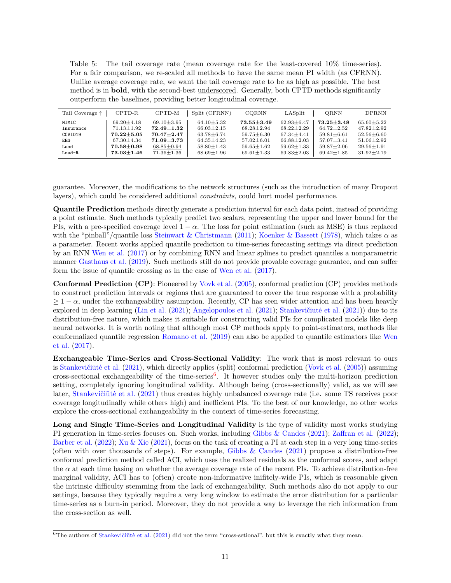<span id="page-10-0"></span>Table 5: The tail coverage rate (mean coverage rate for the least-covered 10% time-series). For a fair comparison, we re-scaled all methods to have the same mean PI width (as CFRNN). Unlike average coverage rate, we want the tail coverage rate to be as high as possible. The best method is in **bold**, with the second-best underscored. Generally, both CPTD methods significantly outperform the baselines, providing better longitudinal coverage.

| Tail Coverage $\uparrow$ | CPTD-R           | CPTD-M           | Split (CFRNN)    | CQRNN            | LASplit          | ORNN             | <b>DPRNN</b>     |
|--------------------------|------------------|------------------|------------------|------------------|------------------|------------------|------------------|
| MIMIC                    | $69.20 + 4.18$   | $69.10 + 3.95$   | $64.10 + 5.32$   | $73.55 + 3.49$   | $62.93 + 6.47$   | $73.25 + 3.48$   | $65.60 + 5.22$   |
| Insurance                | $71.13 \pm 1.92$ | $72.49 + 1.32$   | $66.03 \pm 2.15$ | $68.28 \pm 2.94$ | $68.22 + 2.29$   | $64.72 \pm 2.52$ | $47.82 + 2.92$   |
| COVID19                  | $70.22 + 5.05$   | $70.47 + 2.47$   | $63.78 + 6.74$   | $59.75 + 6.30$   | $67.34 + 4.41$   | $59.81 + 6.61$   | $52.56 + 6.60$   |
| EEG.                     | $67.30 \pm 4.34$ | $71.09 + 3.73$   | $64.35 \pm 4.23$ | $57.02 \pm 6.01$ | $66.88 \pm 2.03$ | $57.07 \pm 3.41$ | $51.06 \pm 2.92$ |
| Load                     | $70.58 \pm 0.98$ | $68.85 \pm 0.94$ | $58.80 + 1.43$   | $59.65 + 1.62$   | $59.62 + 1.33$   | $59.87 \pm 2.06$ | $29.56 + 1.91$   |
| $Load-R$                 | $73.03 + 1.46$   | $71.36 \pm 1.36$ | $68.69 + 1.96$   | $69.61 + 1.33$   | $69.83 \pm 2.03$ | $69.42 + 1.85$   | $31.92 + 2.19$   |

guarantee. Moreover, the modifications to the network structures (such as the introduction of many Dropout layers), which could be considered additional *constraints*, could hurt model performance.

**Quantile Prediction** methods directly generate a prediction interval for each data point, instead of providing a point estimate. Such methods typically predict two scalars, representing the upper and lower bound for the PIs, with a pre-specified coverage level  $1 - \alpha$ . The loss for point estimation (such as MSE) is thus replaced with the "pinball"/quantile loss [Steinwart & Christmann](#page-13-14) [\(2011\)](#page-13-14); [Koenker & Bassett](#page-12-12) [\(1978\)](#page-12-12), which takes *α* as a parameter. Recent works applied quantile prediction to time-series forecasting settings via direct prediction by an RNN [Wen et al.](#page-14-4) [\(2017\)](#page-14-4) or by combining RNN and linear splines to predict quantiles a nonparametric manner [Gasthaus et al.](#page-12-13) [\(2019\)](#page-12-13). Such methods still do not provide provable coverage guarantee, and can suffer form the issue of quantile crossing as in the case of [Wen et al.](#page-14-4) [\(2017\)](#page-14-4).

**Conformal Prediction (CP)**: Pioneered by [Vovk et al.](#page-13-6) [\(2005\)](#page-13-6), conformal prediction (CP) provides methods to construct prediction intervals or regions that are guaranteed to cover the true response with a probability  $\geq 1 - \alpha$ , under the exchangeability assumption. Recently, CP has seen wider attention and has been heavily explored in deep learning [\(Lin et al.](#page-13-1)  $(2021)$ ; [Angelopoulos et al.](#page-11-0)  $(2021)$ ; Stankevičiūtė et al.  $(2021)$ ) due to its distribution-free nature, which makes it suitable for constructing valid PIs for complicated models like deep neural networks. It is worth noting that although most CP methods apply to point-estimators, methods like conformalized quantile regression [Romano et al.](#page-13-12) [\(2019\)](#page-13-12) can also be applied to quantile estimators like [Wen](#page-14-4) [et al.](#page-14-4) [\(2017\)](#page-14-4).

**Exchangeable Time-Series and Cross-Sectional Validity**: The work that is most relevant to ours is Stankevičiūtė et al.  $(2021)$ , which directly applies (split) conformal prediction [\(Vovk et al.](#page-13-6)  $(2005)$ ) assuming cross-sectional exchangeability of the time-series<sup>[6](#page-0-0)</sup>. It however studies only the multi-horizon prediction setting, completely ignoring longitudinal validity. Although being (cross-sectionally) valid, as we will see later, Stankevičiūtė et al. [\(2021\)](#page-13-0) thus creates highly unbalanced coverage rate (i.e. some TS receives poor coverage longitudinally while others high) and inefficient PIs. To the best of our knowledge, no other works explore the cross-sectional exchangeability in the context of time-series forecasting.

**Long and Single Time-Series and Longitudinal Validity** is the type of validity most works studying PI generation in time-series focuses on. Such works, including [Gibbs & Candes](#page-12-0) [\(2021\)](#page-12-0); [Zaffran et al.](#page-14-1) [\(2022\)](#page-14-1); [Barber et al.](#page-11-7) [\(2022\)](#page-11-7); [Xu & Xie](#page-14-2) [\(2021\)](#page-14-2), focus on the task of creating a PI at each step in a very long time-series (often with over thousands of steps). For example, [Gibbs & Candes](#page-12-0) [\(2021\)](#page-12-0) propose a distribution-free conformal prediction method called ACI, which uses the realized residuals as the conformal scores, and adapt the  $\alpha$  at each time basing on whether the average coverage rate of the recent PIs. To achieve distribution-free marginal validity, ACI has to (often) create non-informative inifitely-wide PIs, which is reasonable given the intrinsic difficulty stemming from the lack of exchangeability. Such methods also do not apply to our settings, because they typically require a very long window to estimate the error distribution for a particular time-series as a burn-in period. Moreover, they do not provide a way to leverage the rich information from the cross-section as well.

 $6$ The authors of Stankevičiūtė et al. [\(2021\)](#page-13-0) did not the term "cross-setional", but this is exactly what they mean.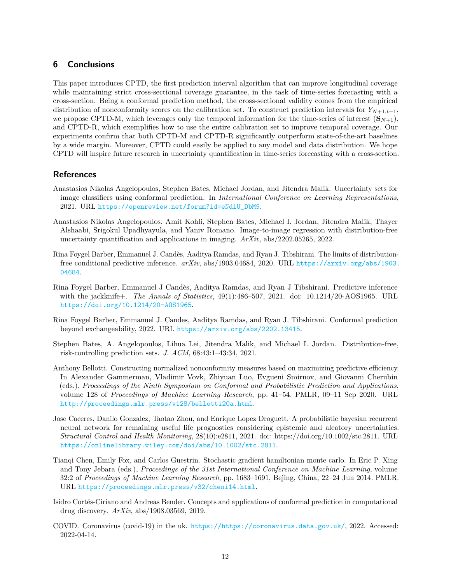# **6 Conclusions**

This paper introduces CPTD, the first prediction interval algorithm that can improve longitudinal coverage while maintaining strict cross-sectional coverage guarantee, in the task of time-series forecasting with a cross-section. Being a conformal prediction method, the cross-sectional validity comes from the empirical distribution of nonconformity scores on the calibration set. To construct prediction intervals for  $Y_{N+1,t+1}$ , we propose CPTD-M, which leverages only the temporal information for the time-series of interest  $({\bf S}_{N+1}),$ and CPTD-R, which exemplifies how to use the entire calibration set to improve temporal coverage. Our experiments confirm that both CPTD-M and CPTD-R significantly outperform state-of-the-art baselines by a wide margin. Moreover, CPTD could easily be applied to any model and data distribution. We hope CPTD will inspire future research in uncertainty quantification in time-series forecasting with a cross-section.

# **References**

- <span id="page-11-0"></span>Anastasios Nikolas Angelopoulos, Stephen Bates, Michael Jordan, and Jitendra Malik. Uncertainty sets for image classifiers using conformal prediction. In *International Conference on Learning Representations*, 2021. URL [https://openreview.net/forum?id=eNdiU\\_DbM9](https://openreview.net/forum?id=eNdiU_DbM9).
- <span id="page-11-3"></span>Anastasios Nikolas Angelopoulos, Amit Kohli, Stephen Bates, Michael I. Jordan, Jitendra Malik, Thayer Alshaabi, Srigokul Upadhyayula, and Yaniv Romano. Image-to-image regression with distribution-free uncertainty quantification and applications in imaging. *ArXiv*, abs/2202.05265, 2022.
- <span id="page-11-6"></span>Rina Foygel Barber, Emmanuel J. Candès, Aaditya Ramdas, and Ryan J. Tibshirani. The limits of distributionfree conditional predictive inference. *arXiv*, abs/1903.04684, 2020. URL [https://arxiv.org/abs/1903.](https://arxiv.org/abs/1903.04684) [04684](https://arxiv.org/abs/1903.04684).
- <span id="page-11-8"></span>Rina Foygel Barber, Emmanuel J Candès, Aaditya Ramdas, and Ryan J Tibshirani. Predictive inference with the jackknife+. *The Annals of Statistics*, 49(1):486–507, 2021. doi: 10.1214/20-AOS1965. URL <https://doi.org/10.1214/20-AOS1965>.
- <span id="page-11-7"></span>Rina Foygel Barber, Emmanuel J. Candes, Aaditya Ramdas, and Ryan J. Tibshirani. Conformal prediction beyond exchangeability, 2022. URL <https://arxiv.org/abs/2202.13415>.
- <span id="page-11-1"></span>Stephen Bates, A. Angelopoulos, Lihua Lei, Jitendra Malik, and Michael I. Jordan. Distribution-free, risk-controlling prediction sets. *J. ACM*, 68:43:1–43:34, 2021.
- <span id="page-11-9"></span>Anthony Bellotti. Constructing normalized nonconformity measures based on maximizing predictive efficiency. In Alexander Gammerman, Vladimir Vovk, Zhiyuan Luo, Evgueni Smirnov, and Giovanni Cherubin (eds.), *Proceedings of the Ninth Symposium on Conformal and Probabilistic Prediction and Applications*, volume 128 of *Proceedings of Machine Learning Research*, pp. 41–54. PMLR, 09–11 Sep 2020. URL <http://proceedings.mlr.press/v128/bellotti20a.html>.
- <span id="page-11-5"></span>Jose Caceres, Danilo Gonzalez, Taotao Zhou, and Enrique Lopez Droguett. A probabilistic bayesian recurrent neural network for remaining useful life prognostics considering epistemic and aleatory uncertainties. *Structural Control and Health Monitoring*, 28(10):e2811, 2021. doi: https://doi.org/10.1002/stc.2811. URL <https://onlinelibrary.wiley.com/doi/abs/10.1002/stc.2811>.
- <span id="page-11-4"></span>Tianqi Chen, Emily Fox, and Carlos Guestrin. Stochastic gradient hamiltonian monte carlo. In Eric P. Xing and Tony Jebara (eds.), *Proceedings of the 31st International Conference on Machine Learning*, volume 32:2 of *Proceedings of Machine Learning Research*, pp. 1683–1691, Bejing, China, 22–24 Jun 2014. PMLR. URL <https://proceedings.mlr.press/v32/cheni14.html>.
- <span id="page-11-2"></span>Isidro Cortés-Ciriano and Andreas Bender. Concepts and applications of conformal prediction in computational drug discovery. *ArXiv*, abs/1908.03569, 2019.
- <span id="page-11-10"></span>COVID. Coronavirus (covid-19) in the uk. <https://https://coronavirus.data.gov.uk/>, 2022. Accessed: 2022-04-14.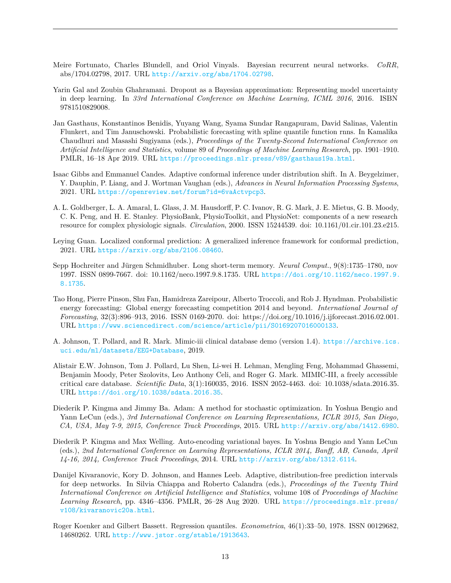- <span id="page-12-3"></span>Meire Fortunato, Charles Blundell, and Oriol Vinyals. Bayesian recurrent neural networks. *CoRR*, abs/1704.02798, 2017. URL <http://arxiv.org/abs/1704.02798>.
- <span id="page-12-2"></span>Yarin Gal and Zoubin Ghahramani. Dropout as a Bayesian approximation: Representing model uncertainty in deep learning. In *33rd International Conference on Machine Learning, ICML 2016*, 2016. ISBN 9781510829008.
- <span id="page-12-13"></span>Jan Gasthaus, Konstantinos Benidis, Yuyang Wang, Syama Sundar Rangapuram, David Salinas, Valentin Flunkert, and Tim Januschowski. Probabilistic forecasting with spline quantile function rnns. In Kamalika Chaudhuri and Masashi Sugiyama (eds.), *Proceedings of the Twenty-Second International Conference on Artificial Intelligence and Statistics*, volume 89 of *Proceedings of Machine Learning Research*, pp. 1901–1910. PMLR, 16–18 Apr 2019. URL <https://proceedings.mlr.press/v89/gasthaus19a.html>.
- <span id="page-12-0"></span>Isaac Gibbs and Emmanuel Candes. Adaptive conformal inference under distribution shift. In A. Beygelzimer, Y. Dauphin, P. Liang, and J. Wortman Vaughan (eds.), *Advances in Neural Information Processing Systems*, 2021. URL <https://openreview.net/forum?id=6vaActvpcp3>.
- <span id="page-12-7"></span>A. L. Goldberger, L. A. Amaral, L. Glass, J. M. Hausdorff, P. C. Ivanov, R. G. Mark, J. E. Mietus, G. B. Moody, C. K. Peng, and H. E. Stanley. PhysioBank, PhysioToolkit, and PhysioNet: components of a new research resource for complex physiologic signals. *Circulation*, 2000. ISSN 15244539. doi: 10.1161/01.cir.101.23.e215.
- <span id="page-12-5"></span>Leying Guan. Localized conformal prediction: A generalized inference framework for conformal prediction, 2021. URL <https://arxiv.org/abs/2106.08460>.
- <span id="page-12-10"></span>Sepp Hochreiter and Jürgen Schmidhuber. Long short-term memory. *Neural Comput.*, 9(8):1735–1780, nov 1997. ISSN 0899-7667. doi: 10.1162/neco.1997.9.8.1735. URL [https://doi.org/10.1162/neco.1997.9.](https://doi.org/10.1162/neco.1997.9.8.1735) [8.1735](https://doi.org/10.1162/neco.1997.9.8.1735).
- <span id="page-12-9"></span>Tao Hong, Pierre Pinson, Shu Fan, Hamidreza Zareipour, Alberto Troccoli, and Rob J. Hyndman. Probabilistic energy forecasting: Global energy forecasting competition 2014 and beyond. *International Journal of Forecasting*, 32(3):896–913, 2016. ISSN 0169-2070. doi: https://doi.org/10.1016/j.ijforecast.2016.02.001. URL <https://www.sciencedirect.com/science/article/pii/S0169207016000133>.
- <span id="page-12-8"></span>A. Johnson, T. Pollard, and R. Mark. Mimic-iii clinical database demo (version 1.4). [https://archive.ics.](https://archive.ics.uci.edu/ml/datasets/EEG+Database) [uci.edu/ml/datasets/EEG+Database](https://archive.ics.uci.edu/ml/datasets/EEG+Database), 2019.
- <span id="page-12-6"></span>Alistair E.W. Johnson, Tom J. Pollard, Lu Shen, Li-wei H. Lehman, Mengling Feng, Mohammad Ghassemi, Benjamin Moody, Peter Szolovits, Leo Anthony Celi, and Roger G. Mark. MIMIC-III, a freely accessible critical care database. *Scientific Data*, 3(1):160035, 2016. ISSN 2052-4463. doi: 10.1038/sdata.2016.35. URL <https://doi.org/10.1038/sdata.2016.35>.
- <span id="page-12-11"></span>Diederik P. Kingma and Jimmy Ba. Adam: A method for stochastic optimization. In Yoshua Bengio and Yann LeCun (eds.), *3rd International Conference on Learning Representations, ICLR 2015, San Diego, CA, USA, May 7-9, 2015, Conference Track Proceedings*, 2015. URL <http://arxiv.org/abs/1412.6980>.
- <span id="page-12-1"></span>Diederik P. Kingma and Max Welling. Auto-encoding variational bayes. In Yoshua Bengio and Yann LeCun (eds.), *2nd International Conference on Learning Representations, ICLR 2014, Banff, AB, Canada, April 14-16, 2014, Conference Track Proceedings*, 2014. URL <http://arxiv.org/abs/1312.6114>.
- <span id="page-12-4"></span>Danijel Kivaranovic, Kory D. Johnson, and Hannes Leeb. Adaptive, distribution-free prediction intervals for deep networks. In Silvia Chiappa and Roberto Calandra (eds.), *Proceedings of the Twenty Third International Conference on Artificial Intelligence and Statistics*, volume 108 of *Proceedings of Machine Learning Research*, pp. 4346–4356. PMLR, 26–28 Aug 2020. URL [https://proceedings.mlr.press/](https://proceedings.mlr.press/v108/kivaranovic20a.html) [v108/kivaranovic20a.html](https://proceedings.mlr.press/v108/kivaranovic20a.html).
- <span id="page-12-12"></span>Roger Koenker and Gilbert Bassett. Regression quantiles. *Econometrica*, 46(1):33–50, 1978. ISSN 00129682, 14680262. URL <http://www.jstor.org/stable/1913643>.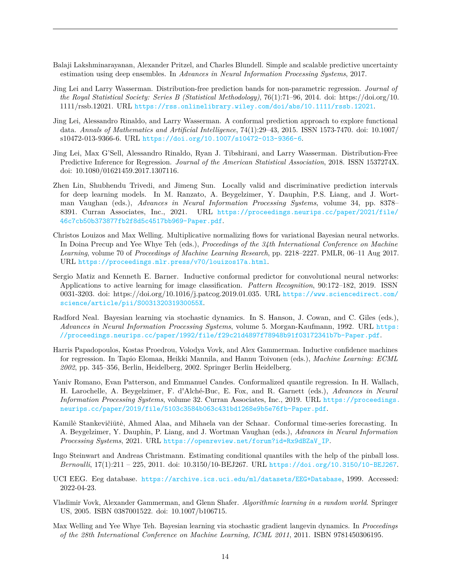- <span id="page-13-5"></span>Balaji Lakshminarayanan, Alexander Pritzel, and Charles Blundell. Simple and scalable predictive uncertainty estimation using deep ensembles. In *Advances in Neural Information Processing Systems*, 2017.
- <span id="page-13-7"></span>Jing Lei and Larry Wasserman. Distribution-free prediction bands for non-parametric regression. *Journal of the Royal Statistical Society: Series B (Statistical Methodology)*, 76(1):71–96, 2014. doi: https://doi.org/10. 1111/rssb.12021. URL <https://rss.onlinelibrary.wiley.com/doi/abs/10.1111/rssb.12021>.
- <span id="page-13-9"></span>Jing Lei, Alessandro Rinaldo, and Larry Wasserman. A conformal prediction approach to explore functional data. *Annals of Mathematics and Artificial Intelligence*, 74(1):29–43, 2015. ISSN 1573-7470. doi: 10.1007/ s10472-013-9366-6. URL <https://doi.org/10.1007/s10472-013-9366-6>.
- <span id="page-13-11"></span>Jing Lei, Max G'Sell, Alessandro Rinaldo, Ryan J. Tibshirani, and Larry Wasserman. Distribution-Free Predictive Inference for Regression. *Journal of the American Statistical Association*, 2018. ISSN 1537274X. doi: 10.1080/01621459.2017.1307116.
- <span id="page-13-1"></span>Zhen Lin, Shubhendu Trivedi, and Jimeng Sun. Locally valid and discriminative prediction intervals for deep learning models. In M. Ranzato, A. Beygelzimer, Y. Dauphin, P.S. Liang, and J. Wortman Vaughan (eds.), *Advances in Neural Information Processing Systems*, volume 34, pp. 8378– 8391. Curran Associates, Inc., 2021. URL [https://proceedings.neurips.cc/paper/2021/file/](https://proceedings.neurips.cc/paper/2021/file/46c7cb50b373877fb2f8d5c4517bb969-Paper.pdf) [46c7cb50b373877fb2f8d5c4517bb969-Paper.pdf](https://proceedings.neurips.cc/paper/2021/file/46c7cb50b373877fb2f8d5c4517bb969-Paper.pdf).
- <span id="page-13-4"></span>Christos Louizos and Max Welling. Multiplicative normalizing flows for variational Bayesian neural networks. In Doina Precup and Yee Whye Teh (eds.), *Proceedings of the 34th International Conference on Machine Learning*, volume 70 of *Proceedings of Machine Learning Research*, pp. 2218–2227. PMLR, 06–11 Aug 2017. URL <https://proceedings.mlr.press/v70/louizos17a.html>.
- <span id="page-13-10"></span>Sergio Matiz and Kenneth E. Barner. Inductive conformal predictor for convolutional neural networks: Applications to active learning for image classification. *Pattern Recognition*, 90:172–182, 2019. ISSN 0031-3203. doi: https://doi.org/10.1016/j.patcog.2019.01.035. URL [https://www.sciencedirect.com/](https://www.sciencedirect.com/science/article/pii/S003132031930055X) [science/article/pii/S003132031930055X](https://www.sciencedirect.com/science/article/pii/S003132031930055X).
- <span id="page-13-3"></span>Radford Neal. Bayesian learning via stochastic dynamics. In S. Hanson, J. Cowan, and C. Giles (eds.), *Advances in Neural Information Processing Systems*, volume 5. Morgan-Kaufmann, 1992. URL [https:](https://proceedings.neurips.cc/paper/1992/file/f29c21d4897f78948b91f03172341b7b-Paper.pdf) [//proceedings.neurips.cc/paper/1992/file/f29c21d4897f78948b91f03172341b7b-Paper.pdf](https://proceedings.neurips.cc/paper/1992/file/f29c21d4897f78948b91f03172341b7b-Paper.pdf).
- <span id="page-13-8"></span>Harris Papadopoulos, Kostas Proedrou, Volodya Vovk, and Alex Gammerman. Inductive confidence machines for regression. In Tapio Elomaa, Heikki Mannila, and Hannu Toivonen (eds.), *Machine Learning: ECML 2002*, pp. 345–356, Berlin, Heidelberg, 2002. Springer Berlin Heidelberg.
- <span id="page-13-12"></span>Yaniv Romano, Evan Patterson, and Emmanuel Candes. Conformalized quantile regression. In H. Wallach, H. Larochelle, A. Beygelzimer, F. d'Alché-Buc, E. Fox, and R. Garnett (eds.), *Advances in Neural Information Processing Systems*, volume 32. Curran Associates, Inc., 2019. URL [https://proceedings.](https://proceedings.neurips.cc/paper/2019/file/5103c3584b063c431bd1268e9b5e76fb-Paper.pdf) [neurips.cc/paper/2019/file/5103c3584b063c431bd1268e9b5e76fb-Paper.pdf](https://proceedings.neurips.cc/paper/2019/file/5103c3584b063c431bd1268e9b5e76fb-Paper.pdf).
- <span id="page-13-0"></span>Kamilė Stankevičiūtė, Ahmed Alaa, and Mihaela van der Schaar. Conformal time-series forecasting. In A. Beygelzimer, Y. Dauphin, P. Liang, and J. Wortman Vaughan (eds.), *Advances in Neural Information Processing Systems*, 2021. URL [https://openreview.net/forum?id=Rx9dBZaV\\_IP](https://openreview.net/forum?id=Rx9dBZaV_IP).
- <span id="page-13-14"></span>Ingo Steinwart and Andreas Christmann. Estimating conditional quantiles with the help of the pinball loss. *Bernoulli*, 17(1):211 – 225, 2011. doi: 10.3150/10-BEJ267. URL <https://doi.org/10.3150/10-BEJ267>.
- <span id="page-13-13"></span>UCI EEG. Eeg database. <https://archive.ics.uci.edu/ml/datasets/EEG+Database>, 1999. Accessed: 2022-04-23.
- <span id="page-13-6"></span>Vladimir Vovk, Alexander Gammerman, and Glenn Shafer. *Algorithmic learning in a random world*. Springer US, 2005. ISBN 0387001522. doi: 10.1007/b106715.
- <span id="page-13-2"></span>Max Welling and Yee Whye Teh. Bayesian learning via stochastic gradient langevin dynamics. In *Proceedings of the 28th International Conference on Machine Learning, ICML 2011*, 2011. ISBN 9781450306195.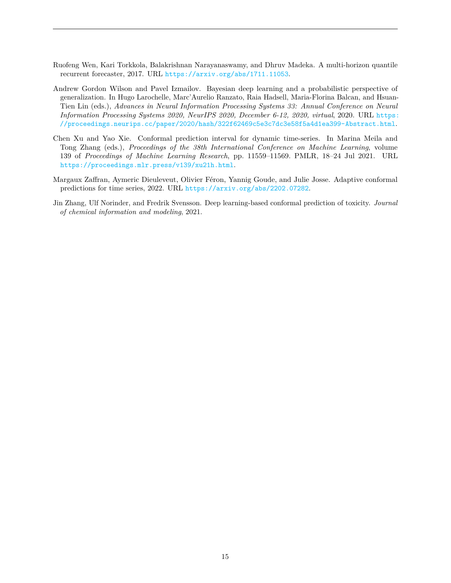- <span id="page-14-4"></span>Ruofeng Wen, Kari Torkkola, Balakrishnan Narayanaswamy, and Dhruv Madeka. A multi-horizon quantile recurrent forecaster, 2017. URL <https://arxiv.org/abs/1711.11053>.
- <span id="page-14-3"></span>Andrew Gordon Wilson and Pavel Izmailov. Bayesian deep learning and a probabilistic perspective of generalization. In Hugo Larochelle, Marc'Aurelio Ranzato, Raia Hadsell, Maria-Florina Balcan, and Hsuan-Tien Lin (eds.), *Advances in Neural Information Processing Systems 33: Annual Conference on Neural Information Processing Systems 2020, NeurIPS 2020, December 6-12, 2020, virtual*, 2020. URL [https:](https://proceedings.neurips.cc/paper/2020/hash/322f62469c5e3c7dc3e58f5a4d1ea399-Abstract.html) [//proceedings.neurips.cc/paper/2020/hash/322f62469c5e3c7dc3e58f5a4d1ea399-Abstract.html](https://proceedings.neurips.cc/paper/2020/hash/322f62469c5e3c7dc3e58f5a4d1ea399-Abstract.html).
- <span id="page-14-2"></span>Chen Xu and Yao Xie. Conformal prediction interval for dynamic time-series. In Marina Meila and Tong Zhang (eds.), *Proceedings of the 38th International Conference on Machine Learning*, volume 139 of *Proceedings of Machine Learning Research*, pp. 11559–11569. PMLR, 18–24 Jul 2021. URL <https://proceedings.mlr.press/v139/xu21h.html>.
- <span id="page-14-1"></span>Margaux Zaffran, Aymeric Dieuleveut, Olivier Féron, Yannig Goude, and Julie Josse. Adaptive conformal predictions for time series, 2022. URL <https://arxiv.org/abs/2202.07282>.
- <span id="page-14-0"></span>Jin Zhang, Ulf Norinder, and Fredrik Svensson. Deep learning-based conformal prediction of toxicity. *Journal of chemical information and modeling*, 2021.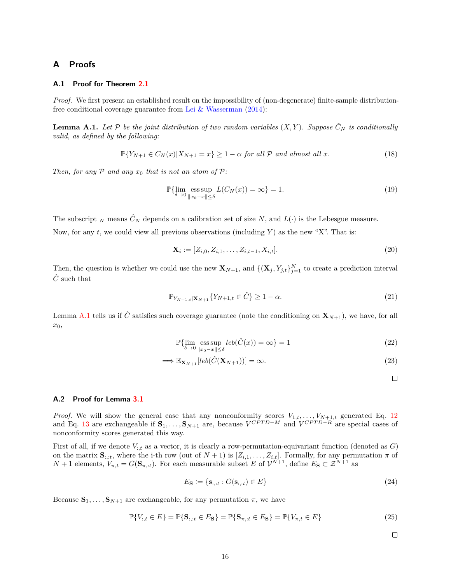# **A Proofs**

### **A.1 Proof for Theorem [2.1](#page-3-1)**

*Proof.* We first present an established result on the impossibility of (non-degenerate) finite-sample distributionfree conditional coverage guarantee from [Lei & Wasserman](#page-13-7) [\(2014\)](#page-13-7):

<span id="page-15-0"></span>**Lemma A.1.** Let P be the joint distribution of two random variables  $(X, Y)$ . Suppose  $\hat{C}_N$  is conditionally *valid, as defined by the following:*

$$
\mathbb{P}\{Y_{N+1} \in C_N(x)|X_{N+1} = x\} \ge 1 - \alpha \text{ for all } \mathcal{P} \text{ and almost all } x. \tag{18}
$$

*Then, for any*  $P$  *and any*  $x_0$  *that is not an atom of*  $P$ *:* 

$$
\mathbb{P}\{\lim_{\delta \to 0} \underset{\|x_0 - x\| \le \delta}{\operatorname{ess\,sup}} L(C_N(x)) = \infty\} = 1. \tag{19}
$$

The subscript  $_N$  means  $\hat{C}_N$  depends on a calibration set of size  $N$ , and  $L(\cdot)$  is the Lebesgue measure.

Now, for any *t*, we could view all previous observations (including *Y* ) as the new "X". That is:

$$
\mathbf{X}_i := [Z_{i,0}, Z_{i,1}, \dots, Z_{i,t-1}, X_{i,t}]. \tag{20}
$$

Then, the question is whether we could use the new  $\mathbf{X}_{N+1}$ , and  $\{(\mathbf{X}_j, Y_{j,t}\}_{j=1}^N$  to create a prediction interval  $\hat{C}$  such that

$$
\mathbb{P}_{Y_{N+1,t}|\mathbf{X}_{N+1}}\{Y_{N+1,t}\in\hat{C}\}\geq 1-\alpha.
$$
\n(21)

Lemma [A.1](#page-15-0) tells us if  $\hat{C}$  satisfies such coverage guarantee (note the conditioning on  $\mathbf{X}_{N+1}$ ), we have, for all *x*0,

$$
\mathbb{P}\{\lim_{\delta \to 0} \underset{\|x_0 - x\| \le \delta}{\operatorname{ess\,sup}} \, \text{leb}(\hat{C}(x)) = \infty\} = 1\tag{22}
$$

$$
\implies \mathbb{E}_{\mathbf{X}_{N+1}}[leb(\hat{C}(\mathbf{X}_{N+1}))] = \infty. \tag{23}
$$

 $\Box$ 

### **A.2 Proof for Lemma [3.1](#page-6-4)**

*Proof.* We will show the general case that any nonconformity scores  $V_{1,t}, \ldots, V_{N+1,t}$  generated Eq. [12](#page-5-2) and Eq. [13](#page-5-3) are exchangeable if  $\mathbf{S}_1, \ldots, \mathbf{S}_{N+1}$  are, because  $V^{CPTD-M}$  and  $V^{CPTD-R}$  are special cases of nonconformity scores generated this way.

First of all, if we denote  $V_{i,t}$  as a vector, it is clearly a row-permutation-equivariant function (denoted as *G*) on the matrix  $S_{:,t}$ , where the i-th row (out of  $N+1$ ) is  $[Z_{i,1},..., Z_{i,t}]$ . Formally, for any permutation  $\pi$  of  $N+1$  elements,  $V_{\pi,t} = G(\mathbf{S}_{\pi,t})$ . For each measurable subset *E* of  $\mathcal{V}^{N+1}$ , define  $E_{\mathbf{S}} \subset \mathcal{Z}^{N+1}$  as

$$
E_{\mathbf{S}} := \{ \mathbf{s}_{:, :t} : G(\mathbf{s}_{:, :t}) \in E \}
$$
\n(24)

Because  $S_1, \ldots, S_{N+1}$  are exchangeable, for any permutation  $\pi$ , we have

$$
\mathbb{P}\{V_{:,t} \in E\} = \mathbb{P}\{\mathbf{S}_{:,t} \in E_{\mathbf{S}}\} = \mathbb{P}\{\mathbf{S}_{\pi,t} \in E_{\mathbf{S}}\} = \mathbb{P}\{V_{\pi,t} \in E\}
$$
(25)

 $\Box$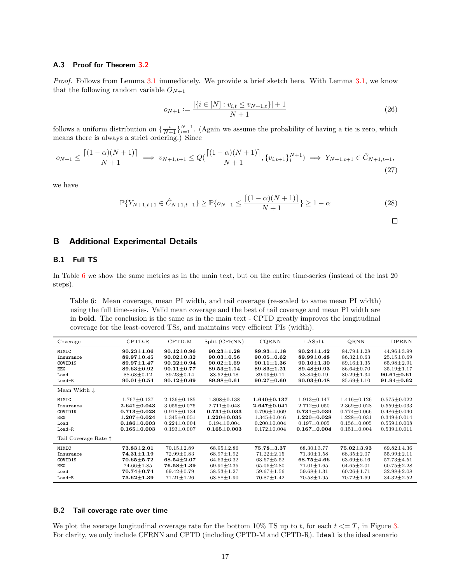### **A.3 Proof for Theorem [3.2](#page-7-1)**

*Proof.* Follows from Lemma [3.1](#page-6-4) immediately. We provide a brief sketch here. With Lemma [3.1,](#page-6-4) we know that the following random variable  $O_{N+1}$ 

$$
o_{N+1} := \frac{|\{i \in [N] : v_{i,t} \le v_{N+1,t}\}| + 1}{N+1}
$$
\n(26)

follows a uniform distribution on  $\{\frac{i}{N+1}\}_{i=1}^{N+1}$ . (Again we assume the probability of having a tie is zero, which means there is always a strict ordering.) Since

$$
o_{N+1} \le \frac{\lceil (1-\alpha)(N+1) \rceil}{N+1} \implies v_{N+1,t+1} \le Q(\frac{\lceil (1-\alpha)(N+1) \rceil}{N+1}, \{v_{i,t+1}\}_{i}^{N+1}) \implies Y_{N+1,t+1} \in \hat{C}_{N+1,t+1},
$$
\n(27)

we have

$$
\mathbb{P}\{Y_{N+1,t+1} \in \hat{C}_{N+1,t+1}\} \ge \mathbb{P}\{o_{N+1} \le \frac{\lceil (1-\alpha)(N+1) \rceil}{N+1} \} \ge 1-\alpha
$$
\n(28)

$$
\Box
$$

### **B Additional Experimental Details**

### **B.1 Full TS**

In Table [6](#page-16-0) we show the same metrics as in the main text, but on the entire time-series (instead of the last 20 steps).

<span id="page-16-0"></span>Table 6: Mean coverage, mean PI width, and tail coverage (re-scaled to same mean PI width) using the full time-series. Valid mean coverage and the best of tail coverage and mean PI width are in **bold**. The conclusion is the same as in the main text - CPTD greatly improves the longitudinal coverage for the least-covered TSs, and maintains very efficient PIs (width).

| Coverage                      | $CPTD-R$                           | CPTD-M            | Split (CFRNN)     | CQRNN             | LASplit           | QRNN              | <b>DPRNN</b>      |
|-------------------------------|------------------------------------|-------------------|-------------------|-------------------|-------------------|-------------------|-------------------|
| MIMIC                         | $90.23 \pm 1.06$                   | $90.12 \pm 0.96$  | $90.23 \pm 1.28$  | $89.93 \pm 1.18$  | $90.24 \pm 1.42$  | $84.79 \pm 1.28$  | $44.96 \pm 3.99$  |
| Insurance                     | $89.97 \pm 0.45$                   | $90.02 \pm 0.32$  | $90.03 \pm 0.56$  | $90.05 \pm 0.62$  | $89.99 \pm 0.48$  | $86.32 \pm 0.63$  | $25.15 \pm 0.69$  |
| COVID19                       | $89.97 \pm 1.47$                   | $90.22 \pm 0.94$  | $90.02 \pm 1.69$  | $90.11 \pm 1.36$  | $90.10 \pm 1.30$  | $89.16 \pm 1.35$  | $65.98 \pm 2.91$  |
| EEG                           | $89.63 \pm 0.92$                   | $90.11 \pm 0.77$  | $89.53 \pm 1.14$  | $89.83 \pm 1.21$  | 89.48±0.93        | $86.64 \pm 0.70$  | $35.19 \pm 1.17$  |
| Load                          | 88.68±0.12                         | $89.23 \pm 0.14$  | $88.52 \pm 0.18$  | $89.09 \pm 0.11$  | $88.84 \pm 0.19$  | $80.29 \pm 1.34$  | $90.61 \pm 0.61$  |
| Load-R                        | $90.01 {\pm} 0.54$                 | $90.12 \pm 0.69$  | $89.98 \pm 0.61$  | $90.27 \pm 0.60$  | $90.03 \pm 0.48$  | $85.69 \pm 1.10$  | $91.94 \pm 0.62$  |
| Mean Width $\downarrow$       |                                    |                   |                   |                   |                   |                   |                   |
| MIMIC                         | $1.767 \pm 0.127$                  | $2.136 \pm 0.185$ | $1.808 \pm 0.138$ | $1.640 \pm 0.137$ | $1.913 \pm 0.147$ | $1.416 \pm 0.126$ | $0.575 \pm 0.022$ |
| Insurance                     | $2.641 \pm 0.043$                  | $3.055 \pm 0.075$ | $2.711 \pm 0.048$ | $2.647 \pm 0.041$ | $2.712 \pm 0.050$ | $2.369 \pm 0.028$ | $0.559 \pm 0.033$ |
| COVID19                       | $0.713 \pm 0.028$                  | $0.918 \pm 0.134$ | $0.731 \pm 0.033$ | $0.796 \pm 0.069$ | $0.731 \pm 0.039$ | $0.774 \pm 0.066$ | $0.486 \pm 0.040$ |
| EEG                           | $1.207 \pm 0.024$                  | $1.345 \pm 0.051$ | $1.220 \pm 0.035$ | $1.345 \pm 0.046$ | $1.220 \pm 0.028$ | $1.228 \pm 0.031$ | $0.349 \pm 0.014$ |
| Load                          | $0.186 \pm 0.003$                  | $0.224 \pm 0.004$ | $0.194 \pm 0.004$ | $0.200 \pm 0.004$ | $0.197 \pm 0.005$ | $0.156 \pm 0.005$ | $0.559 \pm 0.008$ |
| Load-R                        | $0.165 \pm 0.003$                  | $0.193 \pm 0.007$ | $0.165 \pm 0.003$ | $0.172 \pm 0.004$ | $0.167 \pm 0.004$ | $0.151 \pm 0.004$ | $0.539 \pm 0.011$ |
| Tail Coverage Rate $\uparrow$ |                                    |                   |                   |                   |                   |                   |                   |
| MIMIC                         | $73.83 {\pm} 2.01$                 | $70.15 \pm 2.89$  | $68.95 \pm 2.86$  | $75.78 + 3.37$    | $68.30 \pm 3.77$  | $75.02 \pm 3.93$  | $69.82 \pm 4.36$  |
| Insurance                     | $74.31 \!\pm\! 1.19$               | $72.99 \pm 0.83$  | $68.97 \pm 1.92$  | $71.22 \pm 2.15$  | $71.30 \pm 1.58$  | $68.35 \pm 2.07$  | $55.99 \pm 2.11$  |
| COVID19                       | $\textbf{70.65} \!\pm\! 5.72$      | $68.54 \pm 2.07$  | $64.63 \pm 6.32$  | $63.67 \pm 5.52$  | $68.75 \pm 4.66$  | $63.69 \pm 6.16$  | $57.73 \pm 4.51$  |
| EEG                           | $74.66 \pm 1.85$                   | $76.58 \pm 1.39$  | $69.91 \pm 2.35$  | $65.06 \pm 2.80$  | $71.01 \pm 1.65$  | $64.65 \pm 2.01$  | $60.75 \pm 2.28$  |
| Load                          | $70.74 \pm 0.74$                   | $69.42 \pm 0.79$  | $58.53 \pm 1.27$  | $59.67 \pm 1.56$  | $59.68 \pm 1.31$  | $60.26 \pm 1.71$  | $32.98 \pm 2.08$  |
| Load-R                        | $\textcolor{blue}{73.62 \pm 1.39}$ | $71.21 \pm 1.26$  | $68.88 \pm 1.90$  | $70.87 \pm 1.42$  | $70.58 \pm 1.95$  | $70.72 \pm 1.69$  | $34.32 \pm 2.52$  |

### **B.2 Tail coverage rate over time**

We plot the average longitudinal coverage rate for the bottom  $10\%$  TS up to *t*, for each  $t \leq T$ , in Figure [3.](#page-17-0) For clarity, we only include CFRNN and CPTD (including CPTD-M and CPTD-R). Ideal is the ideal scenario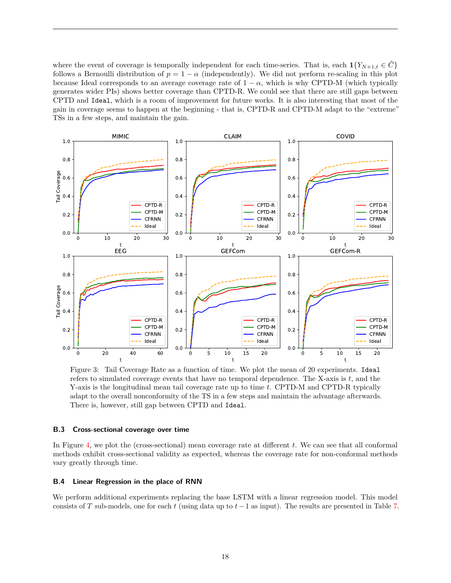where the event of coverage is temporally independent for each time-series. That is, each  $\mathbf{1}\{Y_{N+1,t} \in C\}$ follows a Bernoulli distribution of  $p = 1 - \alpha$  (independently). We did not perform re-scaling in this plot because Ideal corresponds to an average coverage rate of  $1 - \alpha$ , which is why CPTD-M (which typically generates wider PIs) shows better coverage than CPTD-R. We could see that there are still gaps between CPTD and Ideal, which is a room of improvement for future works. It is also interesting that most of the gain in coverage seems to happen at the beginning - that is, CPTD-R and CPTD-M adapt to the "extreme" TSs in a few steps, and maintain the gain.



<span id="page-17-0"></span>Figure 3: Tail Coverage Rate as a function of time. We plot the mean of 20 experiments. Ideal refers to simulated coverage events that have no temporal dependence. The X-axis is *t*, and the Y-axis is the longitudinal mean tail coverage rate up to time *t*. CPTD-M and CPTD-R typically adapt to the overall nonconformity of the TS in a few steps and maintain the advantage afterwards. There is, however, still gap between CPTD and Ideal.

### **B.3 Cross-sectional coverage over time**

In Figure [4,](#page-18-0) we plot the (cross-sectional) mean coverage rate at different *t*. We can see that all conformal methods exhibit cross-sectional validity as expected, whereas the coverage rate for non-conformal methods vary greatly through time.

### **B.4 Linear Regression in the place of RNN**

We perform additional experiments replacing the base LSTM with a linear regression model. This model consists of *T* sub-models, one for each *t* (using data up to *t*−1 as input). The results are presented in Table [7.](#page-18-1)